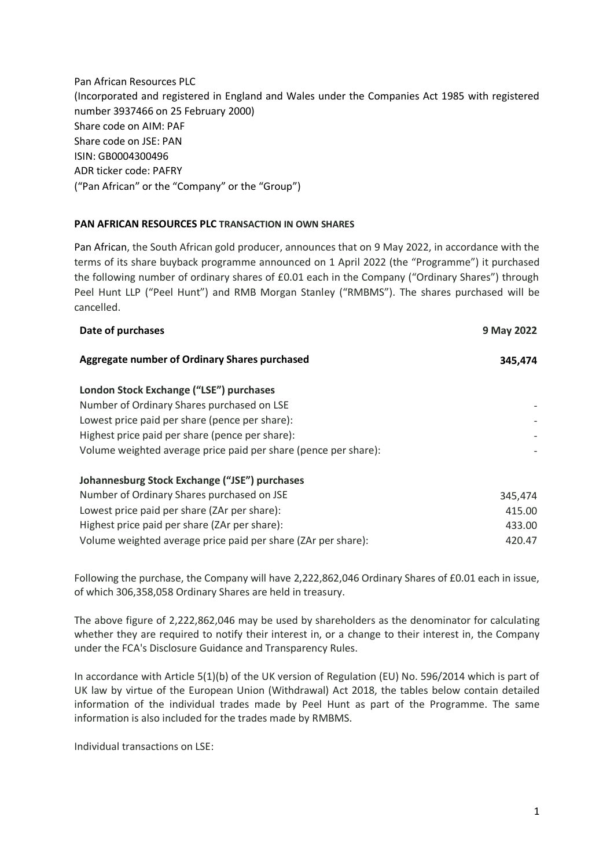Pan African Resources PLC (Incorporated and registered in England and Wales under the Companies Act 1985 with registered number 3937466 on 25 February 2000) Share code on AIM: PAF Share code on JSE: PAN ISIN: GB0004300496 ADR ticker code: PAFRY ("Pan African" or the "Company" or the "Group")

## **PAN AFRICAN RESOURCES PLC TRANSACTION IN OWN SHARES**

Pan African, the South African gold producer, announces that on 9 May 2022, in accordance with the terms of its share buyback programme announced on 1 April 2022 (the "Programme") it purchased the following number of ordinary shares of £0.01 each in the Company ("Ordinary Shares") through Peel Hunt LLP ("Peel Hunt") and RMB Morgan Stanley ("RMBMS"). The shares purchased will be cancelled.

| Date of purchases                                               | 9 May 2022 |
|-----------------------------------------------------------------|------------|
| Aggregate number of Ordinary Shares purchased                   | 345,474    |
| London Stock Exchange ("LSE") purchases                         |            |
| Number of Ordinary Shares purchased on LSE                      |            |
| Lowest price paid per share (pence per share):                  |            |
| Highest price paid per share (pence per share):                 |            |
| Volume weighted average price paid per share (pence per share): |            |
| Johannesburg Stock Exchange ("JSE") purchases                   |            |
| Number of Ordinary Shares purchased on JSE                      | 345,474    |
| Lowest price paid per share (ZAr per share):                    | 415.00     |
| Highest price paid per share (ZAr per share):                   | 433.00     |
| Volume weighted average price paid per share (ZAr per share):   | 420.47     |

Following the purchase, the Company will have 2,222,862,046 Ordinary Shares of £0.01 each in issue, of which 306,358,058 Ordinary Shares are held in treasury.

The above figure of 2,222,862,046 may be used by shareholders as the denominator for calculating whether they are required to notify their interest in, or a change to their interest in, the Company under the FCA's Disclosure Guidance and Transparency Rules.

In accordance with Article 5(1)(b) of the UK version of Regulation (EU) No. 596/2014 which is part of UK law by virtue of the European Union (Withdrawal) Act 2018, the tables below contain detailed information of the individual trades made by Peel Hunt as part of the Programme. The same information is also included for the trades made by RMBMS.

Individual transactions on LSE: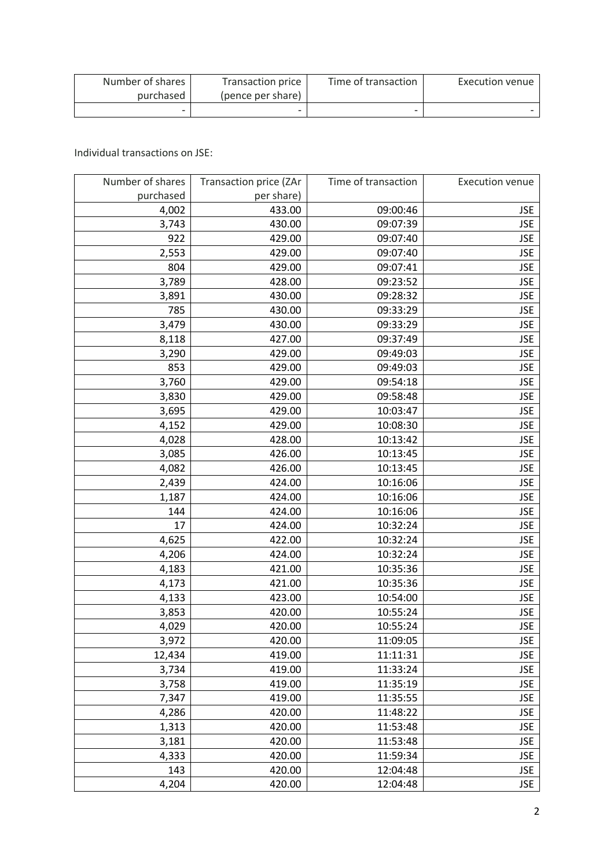| Number of shares | <b>Transaction price</b> | Time of transaction | Execution venue |
|------------------|--------------------------|---------------------|-----------------|
| purchased        | (pence per share)        |                     |                 |
|                  | -                        |                     |                 |

Individual transactions on JSE:

| Number of shares | Transaction price (ZAr | Time of transaction | <b>Execution venue</b> |
|------------------|------------------------|---------------------|------------------------|
| purchased        | per share)             |                     |                        |
| 4,002            | 433.00                 | 09:00:46            | <b>JSE</b>             |
| 3,743            | 430.00                 | 09:07:39            | <b>JSE</b>             |
| 922              | 429.00                 | 09:07:40            | <b>JSE</b>             |
| 2,553            | 429.00                 | 09:07:40            | <b>JSE</b>             |
| 804              | 429.00                 | 09:07:41            | <b>JSE</b>             |
| 3,789            | 428.00                 | 09:23:52            | <b>JSE</b>             |
| 3,891            | 430.00                 | 09:28:32            | <b>JSE</b>             |
| 785              | 430.00                 | 09:33:29            | <b>JSE</b>             |
| 3,479            | 430.00                 | 09:33:29            | <b>JSE</b>             |
| 8,118            | 427.00                 | 09:37:49            | <b>JSE</b>             |
| 3,290            | 429.00                 | 09:49:03            | <b>JSE</b>             |
| 853              | 429.00                 | 09:49:03            | <b>JSE</b>             |
| 3,760            | 429.00                 | 09:54:18            | <b>JSE</b>             |
| 3,830            | 429.00                 | 09:58:48            | <b>JSE</b>             |
| 3,695            | 429.00                 | 10:03:47            | <b>JSE</b>             |
| 4,152            | 429.00                 | 10:08:30            | <b>JSE</b>             |
| 4,028            | 428.00                 | 10:13:42            | <b>JSE</b>             |
| 3,085            | 426.00                 | 10:13:45            | <b>JSE</b>             |
| 4,082            | 426.00                 | 10:13:45            | <b>JSE</b>             |
| 2,439            | 424.00                 | 10:16:06            | <b>JSE</b>             |
| 1,187            | 424.00                 | 10:16:06            | <b>JSE</b>             |
| 144              | 424.00                 | 10:16:06            | <b>JSE</b>             |
| 17               | 424.00                 | 10:32:24            | <b>JSE</b>             |
| 4,625            | 422.00                 | 10:32:24            | <b>JSE</b>             |
| 4,206            | 424.00                 | 10:32:24            | <b>JSE</b>             |
| 4,183            | 421.00                 | 10:35:36            | <b>JSE</b>             |
| 4,173            | 421.00                 | 10:35:36            | <b>JSE</b>             |
| 4,133            | 423.00                 | 10:54:00            | <b>JSE</b>             |
| 3,853            | 420.00                 | 10:55:24            | <b>JSE</b>             |
| 4,029            | 420.00                 | 10:55:24            | <b>JSE</b>             |
| 3,972            | 420.00                 | 11:09:05            | <b>JSE</b>             |
| 12,434           | 419.00                 | 11:11:31            | <b>JSE</b>             |
| 3,734            | 419.00                 | 11:33:24            | <b>JSE</b>             |
| 3,758            | 419.00                 | 11:35:19            | <b>JSE</b>             |
| 7,347            | 419.00                 | 11:35:55            | <b>JSE</b>             |
| 4,286            | 420.00                 | 11:48:22            | <b>JSE</b>             |
| 1,313            | 420.00                 | 11:53:48            | <b>JSE</b>             |
| 3,181            | 420.00                 | 11:53:48            | <b>JSE</b>             |
| 4,333            | 420.00                 | 11:59:34            | <b>JSE</b>             |
| 143              | 420.00                 | 12:04:48            | <b>JSE</b>             |
| 4,204            | 420.00                 | 12:04:48            | <b>JSE</b>             |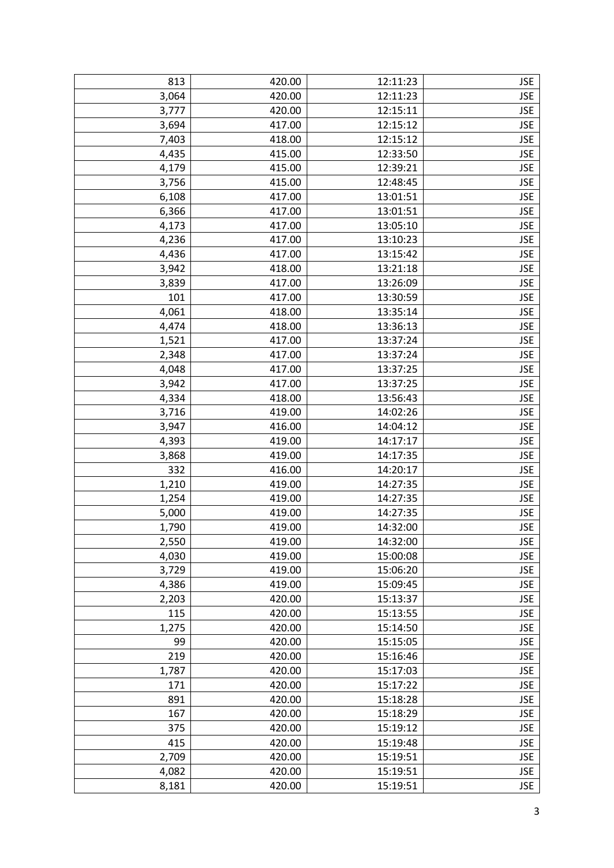| 813   | 420.00 | 12:11:23 | <b>JSE</b> |
|-------|--------|----------|------------|
| 3,064 | 420.00 | 12:11:23 | <b>JSE</b> |
| 3,777 | 420.00 | 12:15:11 | <b>JSE</b> |
| 3,694 | 417.00 | 12:15:12 | <b>JSE</b> |
| 7,403 | 418.00 | 12:15:12 | <b>JSE</b> |
| 4,435 | 415.00 | 12:33:50 | <b>JSE</b> |
| 4,179 | 415.00 | 12:39:21 | <b>JSE</b> |
| 3,756 | 415.00 | 12:48:45 | <b>JSE</b> |
| 6,108 | 417.00 | 13:01:51 | <b>JSE</b> |
| 6,366 | 417.00 | 13:01:51 | <b>JSE</b> |
| 4,173 | 417.00 | 13:05:10 | <b>JSE</b> |
| 4,236 | 417.00 | 13:10:23 | <b>JSE</b> |
| 4,436 | 417.00 | 13:15:42 | <b>JSE</b> |
| 3,942 | 418.00 | 13:21:18 | <b>JSE</b> |
| 3,839 | 417.00 | 13:26:09 | <b>JSE</b> |
| 101   | 417.00 | 13:30:59 | <b>JSE</b> |
| 4,061 | 418.00 | 13:35:14 | <b>JSE</b> |
| 4,474 | 418.00 | 13:36:13 | <b>JSE</b> |
| 1,521 | 417.00 | 13:37:24 | <b>JSE</b> |
| 2,348 | 417.00 | 13:37:24 | <b>JSE</b> |
| 4,048 | 417.00 | 13:37:25 | <b>JSE</b> |
| 3,942 | 417.00 | 13:37:25 | <b>JSE</b> |
| 4,334 | 418.00 | 13:56:43 | <b>JSE</b> |
| 3,716 | 419.00 | 14:02:26 | <b>JSE</b> |
| 3,947 | 416.00 | 14:04:12 | <b>JSE</b> |
| 4,393 | 419.00 | 14:17:17 | <b>JSE</b> |
| 3,868 | 419.00 | 14:17:35 | <b>JSE</b> |
| 332   | 416.00 | 14:20:17 | <b>JSE</b> |
| 1,210 | 419.00 | 14:27:35 | <b>JSE</b> |
| 1,254 | 419.00 | 14:27:35 | <b>JSE</b> |
| 5,000 | 419.00 | 14:27:35 | <b>JSE</b> |
| 1,790 | 419.00 | 14:32:00 | <b>JSE</b> |
| 2,550 | 419.00 | 14:32:00 | <b>JSE</b> |
| 4,030 | 419.00 | 15:00:08 | <b>JSE</b> |
| 3,729 | 419.00 | 15:06:20 | <b>JSE</b> |
| 4,386 | 419.00 | 15:09:45 | <b>JSE</b> |
| 2,203 | 420.00 | 15:13:37 | <b>JSE</b> |
| 115   | 420.00 | 15:13:55 | <b>JSE</b> |
| 1,275 | 420.00 | 15:14:50 | <b>JSE</b> |
| 99    | 420.00 | 15:15:05 | <b>JSE</b> |
| 219   | 420.00 | 15:16:46 | <b>JSE</b> |
| 1,787 | 420.00 | 15:17:03 | <b>JSE</b> |
| 171   | 420.00 | 15:17:22 | <b>JSE</b> |
| 891   | 420.00 | 15:18:28 | <b>JSE</b> |
| 167   | 420.00 | 15:18:29 | <b>JSE</b> |
| 375   | 420.00 | 15:19:12 | <b>JSE</b> |
| 415   | 420.00 | 15:19:48 | <b>JSE</b> |
| 2,709 | 420.00 | 15:19:51 | <b>JSE</b> |
| 4,082 | 420.00 | 15:19:51 | <b>JSE</b> |
| 8,181 | 420.00 | 15:19:51 | <b>JSE</b> |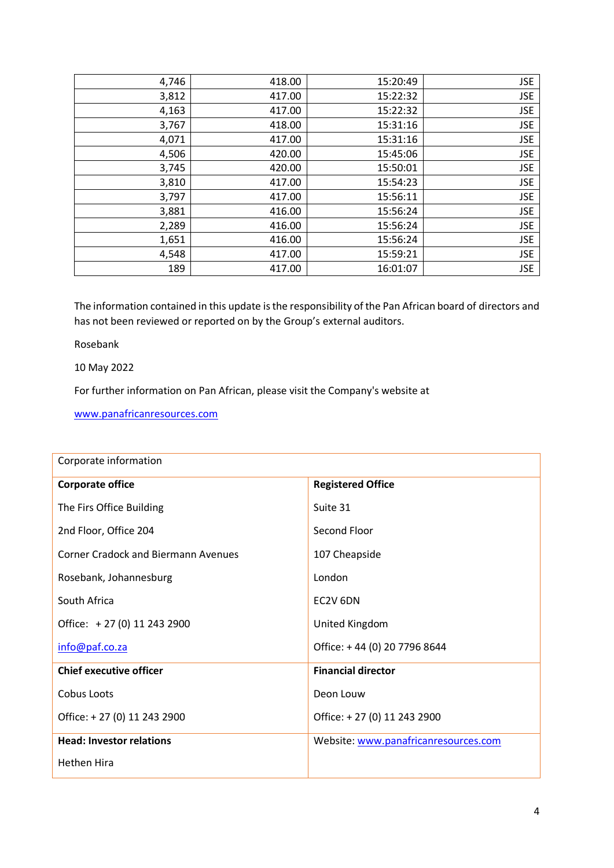| 4,746 | 418.00 | 15:20:49 | <b>JSE</b> |
|-------|--------|----------|------------|
| 3,812 | 417.00 | 15:22:32 | <b>JSE</b> |
| 4,163 | 417.00 | 15:22:32 | <b>JSE</b> |
| 3,767 | 418.00 | 15:31:16 | <b>JSE</b> |
| 4,071 | 417.00 | 15:31:16 | <b>JSE</b> |
| 4,506 | 420.00 | 15:45:06 | <b>JSE</b> |
| 3,745 | 420.00 | 15:50:01 | <b>JSE</b> |
| 3,810 | 417.00 | 15:54:23 | <b>JSE</b> |
| 3,797 | 417.00 | 15:56:11 | <b>JSE</b> |
| 3,881 | 416.00 | 15:56:24 | <b>JSE</b> |
| 2,289 | 416.00 | 15:56:24 | <b>JSE</b> |
| 1,651 | 416.00 | 15:56:24 | <b>JSE</b> |
| 4,548 | 417.00 | 15:59:21 | <b>JSE</b> |
| 189   | 417.00 | 16:01:07 | <b>JSE</b> |

The information contained in this update is the responsibility of the Pan African board of directors and has not been reviewed or reported on by the Group's external auditors.

Rosebank

10 May 2022

For further information on Pan African, please visit the Company's website at

[www.panafricanresources.com](http://www.panafricanresources.com/)

| Corporate information                      |                                      |  |
|--------------------------------------------|--------------------------------------|--|
| <b>Corporate office</b>                    | <b>Registered Office</b>             |  |
| The Firs Office Building                   | Suite 31                             |  |
| 2nd Floor, Office 204                      | Second Floor                         |  |
| <b>Corner Cradock and Biermann Avenues</b> | 107 Cheapside                        |  |
| Rosebank, Johannesburg                     | London                               |  |
| South Africa                               | EC2V 6DN                             |  |
| Office: +27 (0) 11 243 2900                | United Kingdom                       |  |
| info@paf.co.za                             | Office: +44 (0) 20 7796 8644         |  |
| <b>Chief executive officer</b>             | <b>Financial director</b>            |  |
| Cobus Loots                                | Deon Louw                            |  |
| Office: +27 (0) 11 243 2900                | Office: +27 (0) 11 243 2900          |  |
| <b>Head: Investor relations</b>            | Website: www.panafricanresources.com |  |
| <b>Hethen Hira</b>                         |                                      |  |